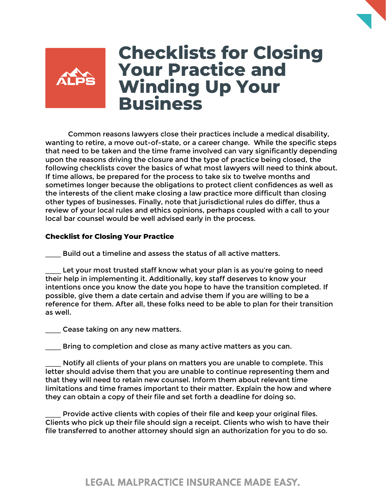

## **Checklists for Closing Your Practice and Winding Up Your Business**

Common reasons lawyers close their practices include a medical disability, wanting to retire, a move out-of-state, or a career change. While the specific steps that need to be taken and the time frame involved can vary significantly depending upon the reasons driving the closure and the type of practice being closed, the following checklists cover the basics of what most lawyers will need to think about. If time allows, be prepared for the process to take six to twelve months and sometimes longer because the obligations to protect client confidences as well as the interests of the client make closing a law practice more difficult than closing other types of businesses. Finally, note that jurisdictional rules do differ, thus a review of your local rules and ethics opinions, perhaps coupled with a call to your local bar counsel would be well advised early in the process.

## **Checklist for Closing Your Practice**

Build out a timeline and assess the status of all active matters.

Let your most trusted staff know what your plan is as you're going to need their help in implementing it. Additionally, key staff deserves to know your intentions once you know the date you hope to have the transition completed. If possible, give them a date certain and advise them if you are willing to be a reference for them. After all, these folks need to be able to plan for their transition as well.

Cease taking on any new matters.

Bring to completion and close as many active matters as you can.

Notify all clients of your plans on matters you are unable to complete. This letter should advise them that you are unable to continue representing them and that they will need to retain new counsel. Inform them about relevant time limitations and time frames important to their matter. Explain the how and where they can obtain a copy of their file and set forth a deadline for doing so.

Provide active clients with copies of their file and keep your original files. Clients who pick up their file should sign a receipt. Clients who wish to have their file transferred to another attorney should sign an authorization for you to do so.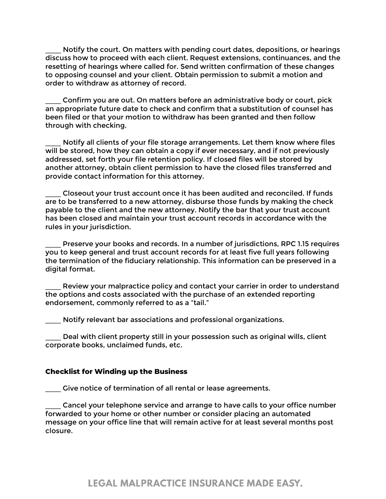Notify the court. On matters with pending court dates, depositions, or hearings discuss how to proceed with each client. Request extensions, continuances, and the resetting of hearings where called for. Send written confirmation of these changes to opposing counsel and your client. Obtain permission to submit a motion and order to withdraw as attorney of record.

Confirm you are out. On matters before an administrative body or court, pick an appropriate future date to check and confirm that a substitution of counsel has been filed or that your motion to withdraw has been granted and then follow through with checking.

Notify all clients of your file storage arrangements. Let them know where files will be stored, how they can obtain a copy if ever necessary, and if not previously addressed, set forth your file retention policy. If closed files will be stored by another attorney, obtain client permission to have the closed files transferred and provide contact information for this attorney.

\_\_\_\_ Closeout your trust account once it has been audited and reconciled. If funds are to be transferred to a new attorney, disburse those funds by making the check payable to the client and the new attorney. Notify the bar that your trust account has been closed and maintain your trust account records in accordance with the rules in your jurisdiction.

Preserve your books and records. In a number of jurisdictions, RPC 1.15 requires you to keep general and trust account records for at least five full years following the termination of the fiduciary relationship. This information can be preserved in a digital format.

Review your malpractice policy and contact your carrier in order to understand the options and costs associated with the purchase of an extended reporting endorsement, commonly referred to as a "tail."

Notify relevant bar associations and professional organizations.

Deal with client property still in your possession such as original wills, client corporate books, unclaimed funds, etc.

## **Checklist for Winding up the Business**

Give notice of termination of all rental or lease agreements.

\_\_\_\_ Cancel your telephone service and arrange to have calls to your office number forwarded to your home or other number or consider placing an automated message on your office line that will remain active for at least several months post closure.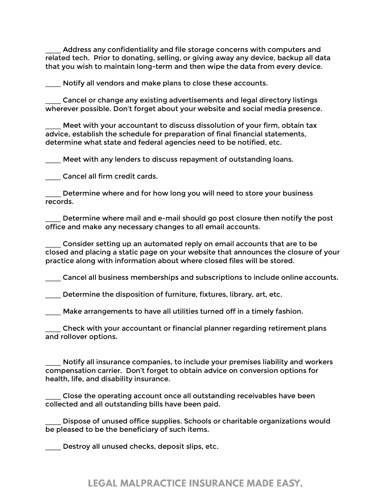Address any confidentiality and file storage concerns with computers and related tech. Prior to donating, selling, or giving away any device, backup all data that you wish to maintain long-term and then wipe the data from every device.

Notify all vendors and make plans to close these accounts.

\_\_\_\_ Cancel or change any existing advertisements and legal directory listings wherever possible. Don't forget about your website and social media presence.

Meet with your accountant to discuss dissolution of your firm, obtain tax advice, establish the schedule for preparation of final financial statements, determine what state and federal agencies need to be notified, etc.

Meet with any lenders to discuss repayment of outstanding loans.

\_\_\_\_ Cancel all firm credit cards.

\_\_\_\_ Determine where and for how long you will need to store your business records.

Determine where mail and e-mail should go post closure then notify the post office and make any necessary changes to all email accounts.

\_\_\_\_ Consider setting up an automated reply on email accounts that are to be closed and placing a static page on your website that announces the closure of your practice along with information about where closed files will be stored.

\_\_\_\_ Cancel all business memberships and subscriptions to include online accounts.

Determine the disposition of furniture, fixtures, library, art, etc.

Make arrangements to have all utilities turned off in a timely fashion.

\_\_\_\_ Check with your accountant or financial planner regarding retirement plans and rollover options.

Notify all insurance companies, to include your premises liability and workers compensation carrier. Don't forget to obtain advice on conversion options for health, life, and disability insurance.

\_\_\_\_ Close the operating account once all outstanding receivables have been collected and all outstanding bills have been paid.

Dispose of unused office supplies. Schools or charitable organizations would be pleased to be the beneficiary of such items.

Destroy all unused checks, deposit slips, etc.